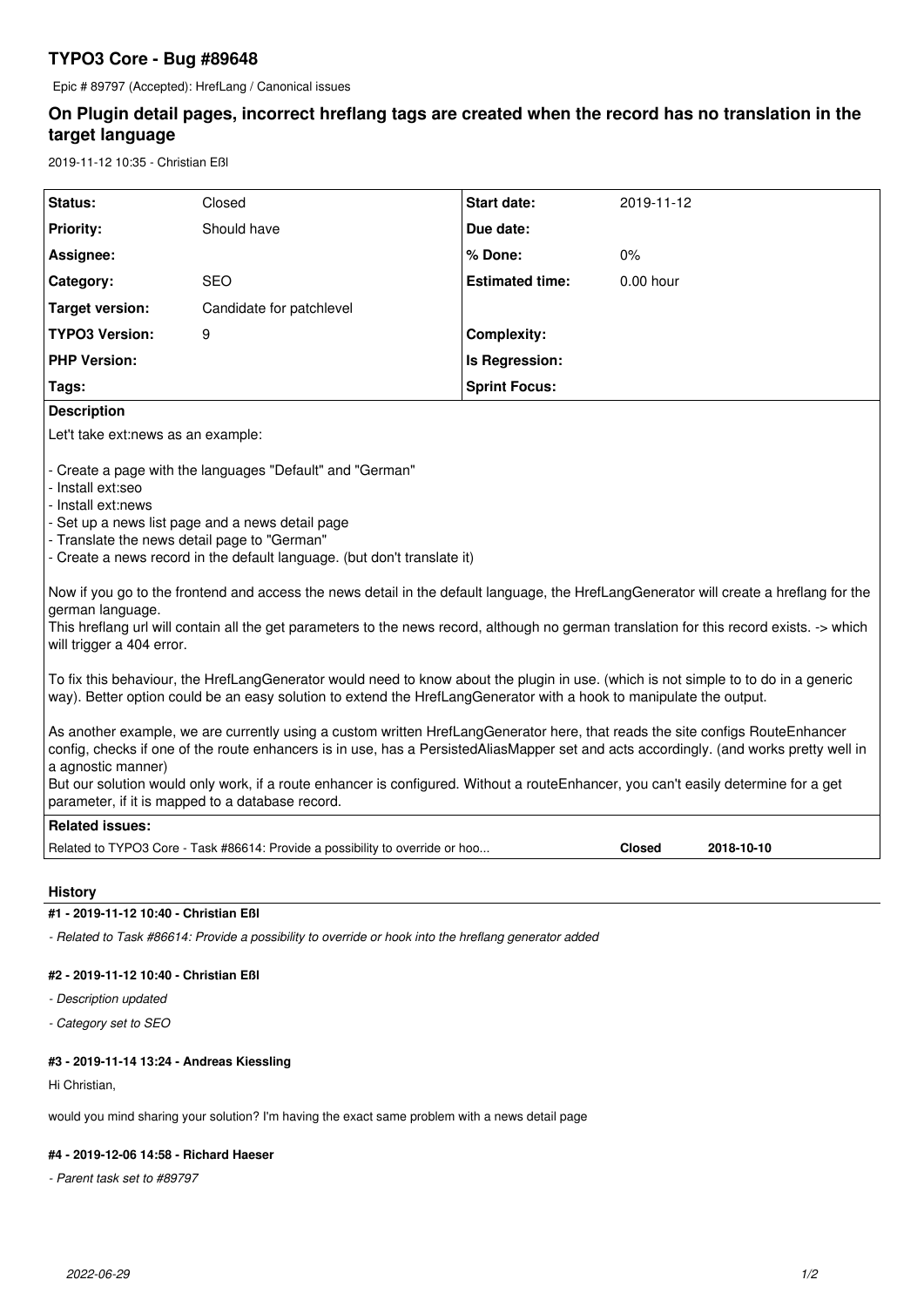## **TYPO3 Core - Bug #89648**

Epic # 89797 (Accepted): HrefLang / Canonical issues

# **On Plugin detail pages, incorrect hreflang tags are created when the record has no translation in the target language**

2019-11-12 10:35 - Christian Eßl

| Status:                                                                                                                                                                                                                                                                                                                                                                                                                                                                                                                                                                                                                                                                                                                                                                                                                                                                                                                                                                                                                                                                                                                        | Closed                                                                        | <b>Start date:</b>     | 2019-11-12    |            |
|--------------------------------------------------------------------------------------------------------------------------------------------------------------------------------------------------------------------------------------------------------------------------------------------------------------------------------------------------------------------------------------------------------------------------------------------------------------------------------------------------------------------------------------------------------------------------------------------------------------------------------------------------------------------------------------------------------------------------------------------------------------------------------------------------------------------------------------------------------------------------------------------------------------------------------------------------------------------------------------------------------------------------------------------------------------------------------------------------------------------------------|-------------------------------------------------------------------------------|------------------------|---------------|------------|
| <b>Priority:</b>                                                                                                                                                                                                                                                                                                                                                                                                                                                                                                                                                                                                                                                                                                                                                                                                                                                                                                                                                                                                                                                                                                               | Should have                                                                   | Due date:              |               |            |
| Assignee:                                                                                                                                                                                                                                                                                                                                                                                                                                                                                                                                                                                                                                                                                                                                                                                                                                                                                                                                                                                                                                                                                                                      |                                                                               | % Done:                | 0%            |            |
| Category:                                                                                                                                                                                                                                                                                                                                                                                                                                                                                                                                                                                                                                                                                                                                                                                                                                                                                                                                                                                                                                                                                                                      | <b>SEO</b>                                                                    | <b>Estimated time:</b> | 0.00 hour     |            |
| <b>Target version:</b>                                                                                                                                                                                                                                                                                                                                                                                                                                                                                                                                                                                                                                                                                                                                                                                                                                                                                                                                                                                                                                                                                                         | Candidate for patchlevel                                                      |                        |               |            |
| <b>TYPO3 Version:</b>                                                                                                                                                                                                                                                                                                                                                                                                                                                                                                                                                                                                                                                                                                                                                                                                                                                                                                                                                                                                                                                                                                          | 9                                                                             | <b>Complexity:</b>     |               |            |
| <b>PHP Version:</b>                                                                                                                                                                                                                                                                                                                                                                                                                                                                                                                                                                                                                                                                                                                                                                                                                                                                                                                                                                                                                                                                                                            |                                                                               | Is Regression:         |               |            |
| Tags:                                                                                                                                                                                                                                                                                                                                                                                                                                                                                                                                                                                                                                                                                                                                                                                                                                                                                                                                                                                                                                                                                                                          |                                                                               | <b>Sprint Focus:</b>   |               |            |
| <b>Description</b>                                                                                                                                                                                                                                                                                                                                                                                                                                                                                                                                                                                                                                                                                                                                                                                                                                                                                                                                                                                                                                                                                                             |                                                                               |                        |               |            |
| Let't take ext:news as an example:                                                                                                                                                                                                                                                                                                                                                                                                                                                                                                                                                                                                                                                                                                                                                                                                                                                                                                                                                                                                                                                                                             |                                                                               |                        |               |            |
| - Install ext:seo<br>- Install ext:news<br>- Set up a news list page and a news detail page<br>- Translate the news detail page to "German"<br>- Create a news record in the default language. (but don't translate it)<br>Now if you go to the frontend and access the news detail in the default language, the HrefLangGenerator will create a hreflang for the<br>german language.<br>This hreflang url will contain all the get parameters to the news record, although no german translation for this record exists. -> which<br>will trigger a 404 error.<br>To fix this behaviour, the HrefLangGenerator would need to know about the plugin in use. (which is not simple to to do in a generic<br>way). Better option could be an easy solution to extend the HrefLangGenerator with a hook to manipulate the output.<br>As another example, we are currently using a custom written HrefLangGenerator here, that reads the site configs RouteEnhancer<br>config, checks if one of the route enhancers is in use, has a PersistedAliasMapper set and acts accordingly. (and works pretty well in<br>a agnostic manner) |                                                                               |                        |               |            |
| But our solution would only work, if a route enhancer is configured. Without a routeEnhancer, you can't easily determine for a get<br>parameter, if it is mapped to a database record.                                                                                                                                                                                                                                                                                                                                                                                                                                                                                                                                                                                                                                                                                                                                                                                                                                                                                                                                         |                                                                               |                        |               |            |
| <b>Related issues:</b>                                                                                                                                                                                                                                                                                                                                                                                                                                                                                                                                                                                                                                                                                                                                                                                                                                                                                                                                                                                                                                                                                                         |                                                                               |                        |               |            |
|                                                                                                                                                                                                                                                                                                                                                                                                                                                                                                                                                                                                                                                                                                                                                                                                                                                                                                                                                                                                                                                                                                                                | Related to TYPO3 Core - Task #86614: Provide a possibility to override or hoo |                        | <b>Closed</b> | 2018-10-10 |

#### **History**

## **#1 - 2019-11-12 10:40 - Christian Eßl**

*- Related to Task #86614: Provide a possibility to override or hook into the hreflang generator added*

### **#2 - 2019-11-12 10:40 - Christian Eßl**

- *Description updated*
- *Category set to SEO*

### **#3 - 2019-11-14 13:24 - Andreas Kiessling**

Hi Christian,

would you mind sharing your solution? I'm having the exact same problem with a news detail page

#### **#4 - 2019-12-06 14:58 - Richard Haeser**

*- Parent task set to #89797*